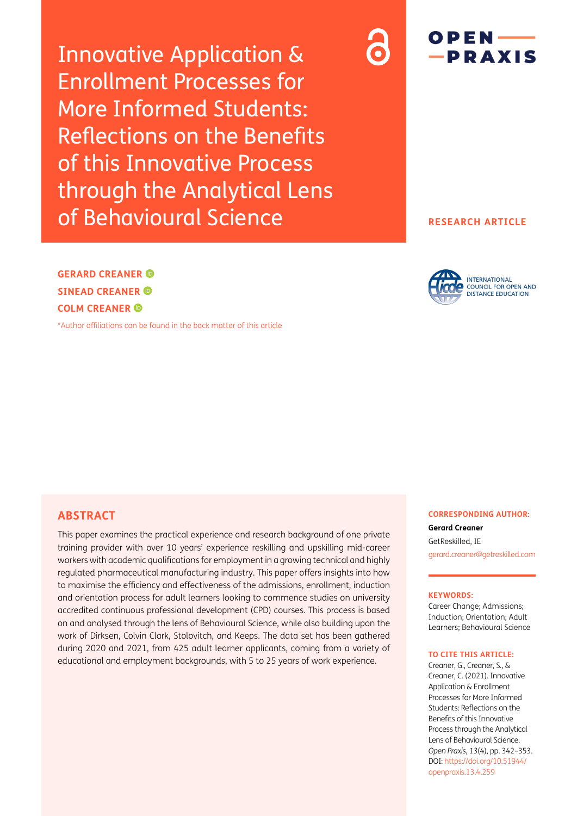Innovative Application & Enrollment Processes for More Informed Students: Reflections on the Benefits of this Innovative Process through the Analytical Lens of Behavioural Science



### **RESEARCH ARTICLE**

**GERARD CREANER SINEAD CREANER COLM CREANER**

[\\*Author affiliations can be found in the back matter of this article](#page-11-0)

**INTERNATIONAL COUNCIL FOR OPEN AND DISTANCE EDUCATION** 

## **ABSTRACT**

This paper examines the practical experience and research background of one private training provider with over 10 years' experience reskilling and upskilling mid-career workers with academic qualifications for employment in a growing technical and highly regulated pharmaceutical manufacturing industry. This paper offers insights into how to maximise the efficiency and effectiveness of the admissions, enrollment, induction and orientation process for adult learners looking to commence studies on university accredited continuous professional development (CPD) courses. This process is based on and analysed through the lens of Behavioural Science, while also building upon the work of Dirksen, Colvin Clark, Stolovitch, and Keeps. The data set has been gathered during 2020 and 2021, from 425 adult learner applicants, coming from a variety of educational and employment backgrounds, with 5 to 25 years of work experience.

**CORRESPONDING AUTHOR:**

**Gerard Creaner** GetReskilled, IE [gerard.creaner@getreskilled.com](mailto:gerard.creaner@getreskilled.com)

#### **KEYWORDS:**

Career Change; Admissions; Induction; Orientation; Adult Learners; Behavioural Science

#### **TO CITE THIS ARTICLE:**

Creaner, G., Creaner, S., & Creaner, C. (2021). Innovative Application & Enrollment Processes for More Informed Students: Reflections on the Benefits of this Innovative Process through the Analytical Lens of Behavioural Science. *Open Praxis*, *13*(4), pp. 342–353. DOI: [https://doi.org/](https://doi.org/10.51944/openpraxis.13.4.259)10.55982/ [openpraxis.13.4.259](https://doi.org/10.51944/openpraxis.13.4.259)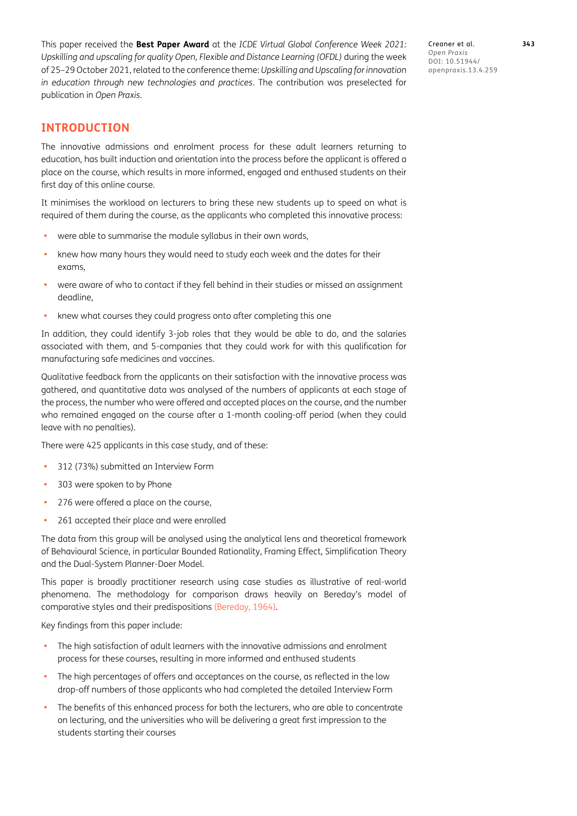This paper received the **Best Paper Award** at the *ICDE Virtual Global Conference Week 2021: Upskilling and upscaling for quality Open, Flexible and Distance Learning (OFDL)* during the week of 25–29 October 2021, related to the conference theme: *Upskilling and Upscaling for innovation in education through new technologies and practices*. The contribution was preselected for publication in *Open Praxis*.

Creaner et al. **343** *Open Praxis* DOI: 10.55982/ openpraxis.13.4.259

# **INTRODUCTION**

The innovative admissions and enrolment process for these adult learners returning to education, has built induction and orientation into the process before the applicant is offered a place on the course, which results in more informed, engaged and enthused students on their first day of this online course.

It minimises the workload on lecturers to bring these new students up to speed on what is required of them during the course, as the applicants who completed this innovative process:

- **•** were able to summarise the module syllabus in their own words,
- **•** knew how many hours they would need to study each week and the dates for their exams,
- **•** were aware of who to contact if they fell behind in their studies or missed an assignment deadline,
- **•** knew what courses they could progress onto after completing this one

In addition, they could identify 3-job roles that they would be able to do, and the salaries associated with them, and 5-companies that they could work for with this qualification for manufacturing safe medicines and vaccines.

Qualitative feedback from the applicants on their satisfaction with the innovative process was gathered, and quantitative data was analysed of the numbers of applicants at each stage of the process, the number who were offered and accepted places on the course, and the number who remained engaged on the course after a 1-month cooling-off period (when they could leave with no penalties).

There were 425 applicants in this case study, and of these:

- **•** 312 (73%) submitted an Interview Form
- **•** 303 were spoken to by Phone
- **•** 276 were offered a place on the course,
- **•** 261 accepted their place and were enrolled

The data from this group will be analysed using the analytical lens and theoretical framework of Behavioural Science, in particular Bounded Rationality, Framing Effect, Simplification Theory and the Dual-System Planner-Doer Model.

This paper is broadly practitioner research using case studies as illustrative of real-world phenomena. The methodology for comparison draws heavily on Bereday's model of comparative styles and their predispositions [\(Bereday, 1964\)](#page-11-1).

Key findings from this paper include:

- **•** The high satisfaction of adult learners with the innovative admissions and enrolment process for these courses, resulting in more informed and enthused students
- **•** The high percentages of offers and acceptances on the course, as reflected in the low drop-off numbers of those applicants who had completed the detailed Interview Form
- **•** The benefits of this enhanced process for both the lecturers, who are able to concentrate on lecturing, and the universities who will be delivering a great first impression to the students starting their courses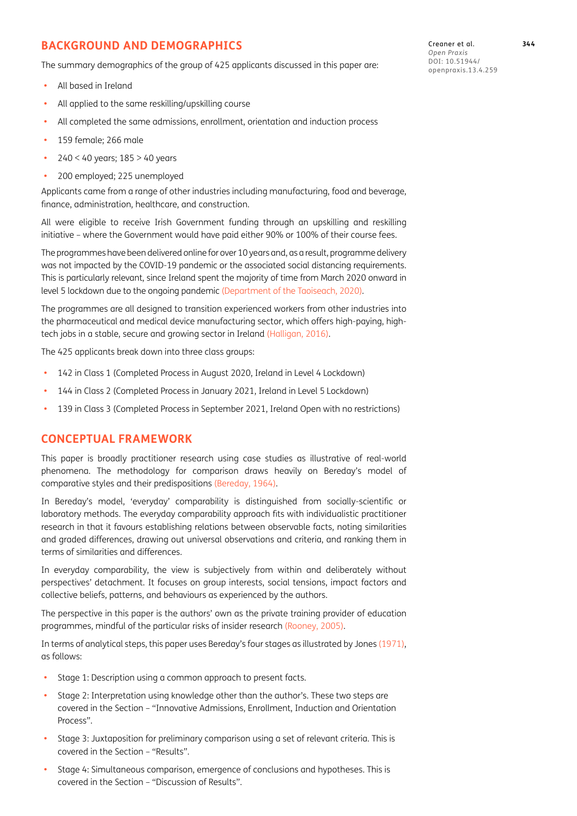# **BACKGROUND AND DEMOGRAPHICS**

The summary demographics of the group of 425 applicants discussed in this paper are:

- **•** All based in Ireland
- **•** All applied to the same reskilling/upskilling course
- **•** All completed the same admissions, enrollment, orientation and induction process
- **•** 159 female; 266 male
- **•** 240 < 40 years; 185 > 40 years
- **•** 200 employed; 225 unemployed

Applicants came from a range of other industries including manufacturing, food and beverage, finance, administration, healthcare, and construction.

All were eligible to receive Irish Government funding through an upskilling and reskilling initiative – where the Government would have paid either 90% or 100% of their course fees.

The programmes have been delivered online for over 10 years and, as a result, programme delivery was not impacted by the COVID-19 pandemic or the associated social distancing requirements. This is particularly relevant, since Ireland spent the majority of time from March 2020 onward in level 5 lockdown due to the ongoing pandemic ([Department of the Taoiseach, 2020\)](#page-11-2).

The programmes are all designed to transition experienced workers from other industries into the pharmaceutical and medical device manufacturing sector, which offers high-paying, hightech jobs in a stable, secure and growing sector in Ireland [\(Halligan, 2016](#page-11-3)).

The 425 applicants break down into three class groups:

- **•** 142 in Class 1 (Completed Process in August 2020, Ireland in Level 4 Lockdown)
- **•** 144 in Class 2 (Completed Process in January 2021, Ireland in Level 5 Lockdown)
- **•** 139 in Class 3 (Completed Process in September 2021, Ireland Open with no restrictions)

### **CONCEPTUAL FRAMEWORK**

This paper is broadly practitioner research using case studies as illustrative of real-world phenomena. The methodology for comparison draws heavily on Bereday's model of comparative styles and their predispositions [\(Bereday, 1964\)](#page-11-1).

In Bereday's model, 'everyday' comparability is distinguished from socially-scientific or laboratory methods. The everyday comparability approach fits with individualistic practitioner research in that it favours establishing relations between observable facts, noting similarities and graded differences, drawing out universal observations and criteria, and ranking them in terms of similarities and differences.

In everyday comparability, the view is subjectively from within and deliberately without perspectives' detachment. It focuses on group interests, social tensions, impact factors and collective beliefs, patterns, and behaviours as experienced by the authors.

The perspective in this paper is the authors' own as the private training provider of education programmes, mindful of the particular risks of insider research ([Rooney, 2005\)](#page-11-4).

In terms of analytical steps, this paper uses Bereday's four stages as illustrated by Jones ([1971](#page-11-5)), as follows:

- **•** Stage 1: Description using a common approach to present facts.
- **•** Stage 2: Interpretation using knowledge other than the author's. These two steps are covered in the Section – "Innovative Admissions, Enrollment, Induction and Orientation Process".
- **•** Stage 3: Juxtaposition for preliminary comparison using a set of relevant criteria. This is covered in the Section – "Results".
- **•** Stage 4: Simultaneous comparison, emergence of conclusions and hypotheses. This is covered in the Section – "Discussion of Results".

Creaner et al. **344** *Open Praxis* DOI: 10.55982/ openpraxis.13.4.259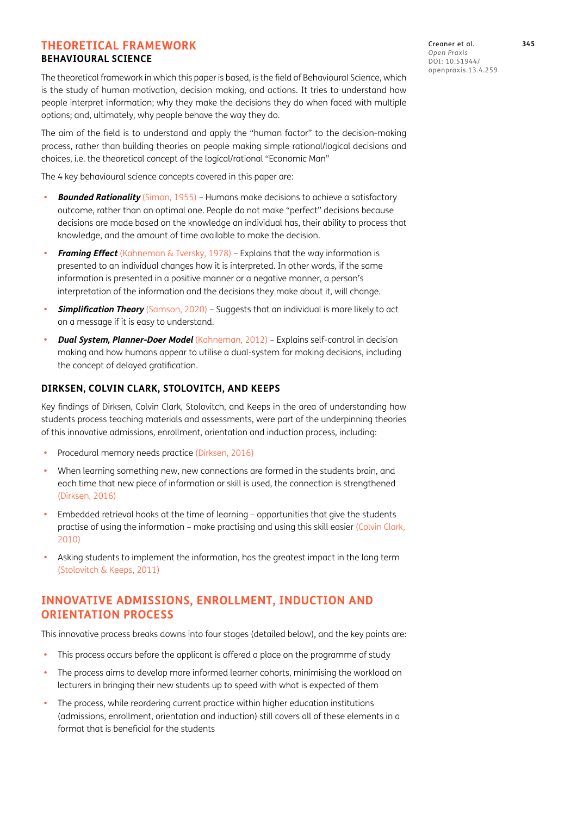#### **THEORETICAL FRAMEWORK BEHAVIOURAL SCIENCE**

The theoretical framework in which this paper is based, is the field of Behavioural Science, which is the study of human motivation, decision making, and actions. It tries to understand how people interpret information; why they make the decisions they do when faced with multiple options; and, ultimately, why people behave the way they do.

The aim of the field is to understand and apply the "human factor" to the decision-making process, rather than building theories on people making simple rational/logical decisions and choices, i.e. the theoretical concept of the logical/rational "Economic Man"

The 4 key behavioural science concepts covered in this paper are:

- **• Bounded Rationality** ([Simon, 1955](#page-11-6)) Humans make decisions to achieve a satisfactory outcome, rather than an optimal one. People do not make "perfect" decisions because decisions are made based on the knowledge an individual has, their ability to process that knowledge, and the amount of time available to make the decision.
- **• Framing Effect** [\(Kahneman & Tversky, 1978\)](#page-11-7) Explains that the way information is presented to an individual changes how it is interpreted. In other words, if the same information is presented in a positive manner or a negative manner, a person's interpretation of the information and the decisions they make about it, will change.
- **Simplification Theory** ([Samson, 2020](#page-11-8)) Suggests that an individual is more likely to act on a message if it is easy to understand.
- **• Dual System, Planner-Doer Model** [\(Kahneman, 2012\)](#page-11-9) Explains self-control in decision making and how humans appear to utilise a dual-system for making decisions, including the concept of delayed gratification.

#### **DIRKSEN, COLVIN CLARK, STOLOVITCH, AND KEEPS**

Key findings of Dirksen, Colvin Clark, Stolovitch, and Keeps in the area of understanding how students process teaching materials and assessments, were part of the underpinning theories of this innovative admissions, enrollment, orientation and induction process, including:

- **•** Procedural memory needs practice ([Dirksen, 2016](#page-11-10))
- **•** When learning something new, new connections are formed in the students brain, and each time that new piece of information or skill is used, the connection is strengthened [\(Dirksen, 2016\)](#page-11-10)
- **•** Embedded retrieval hooks at the time of learning opportunities that give the students practise of using the information – make practising and using this skill easier [\(Colvin Clark,](#page-11-11) [2010](#page-11-11))
- **•** Asking students to implement the information, has the greatest impact in the long term [\(Stolovitch & Keeps, 2011\)](#page-11-12)

# **INNOVATIVE ADMISSIONS, ENROLLMENT, INDUCTION AND ORIENTATION PROCESS**

This innovative process breaks downs into four stages (detailed below), and the key points are:

- **•** This process occurs before the applicant is offered a place on the programme of study
- **•** The process aims to develop more informed learner cohorts, minimising the workload on lecturers in bringing their new students up to speed with what is expected of them
- **•** The process, while reordering current practice within higher education institutions (admissions, enrollment, orientation and induction) still covers all of these elements in a format that is beneficial for the students

Creaner et al. **345** *Open Praxis* DOI: 10.55982/ openpraxis.13.4.259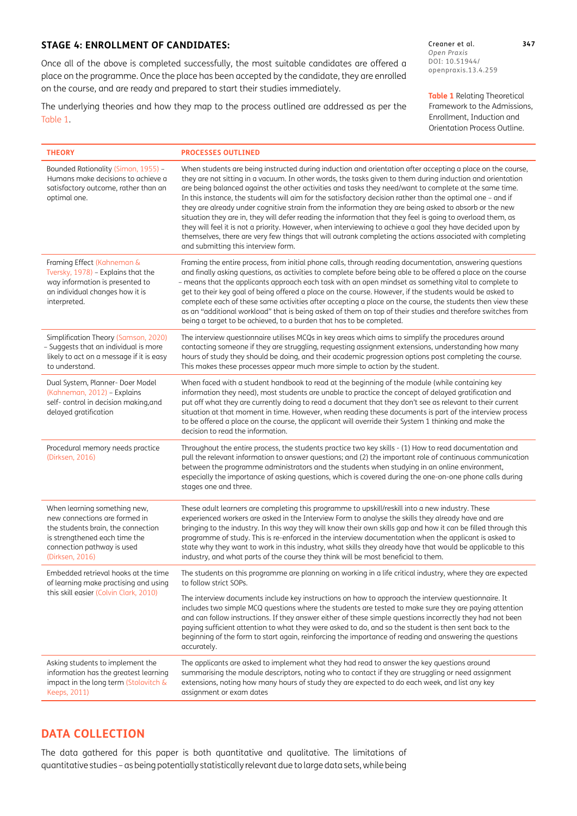#### **STAGE 4: ENROLLMENT OF CANDIDATES:**

Once all of the above is completed successfully, the most suitable candidates are offered a place on the programme. Once the place has been accepted by the candidate, they are enrolled on the course, and are ready and prepared to start their studies immediately.

The underlying theories and how they map to the process outlined are addressed as per the [Table 1](#page-5-0).

Creaner et al. **347** *Open Praxis* DOI: 10.55982/ openpraxis.13.4.259

<span id="page-5-0"></span>**Table 1** Relating Theoretical Framework to the Admissions, Enrollment, Induction and Orientation Process Outline.

| <b>THEORY</b>                                                                                                                                                                         | <b>PROCESSES OUTLINED</b>                                                                                                                                                                                                                                                                                                                                                                                                                                                                                                                                                                                                                                                                                                                                                                                                                                                                                                                    |
|---------------------------------------------------------------------------------------------------------------------------------------------------------------------------------------|----------------------------------------------------------------------------------------------------------------------------------------------------------------------------------------------------------------------------------------------------------------------------------------------------------------------------------------------------------------------------------------------------------------------------------------------------------------------------------------------------------------------------------------------------------------------------------------------------------------------------------------------------------------------------------------------------------------------------------------------------------------------------------------------------------------------------------------------------------------------------------------------------------------------------------------------|
| Bounded Rationality (Simon, 1955) -<br>Humans make decisions to achieve a<br>satisfactory outcome, rather than an<br>optimal one.                                                     | When students are being instructed during induction and orientation after accepting a place on the course,<br>they are not sitting in a vacuum. In other words, the tasks given to them during induction and orientation<br>are being balanced against the other activities and tasks they need/want to complete at the same time.<br>In this instance, the students will aim for the satisfactory decision rather than the optimal one - and if<br>they are already under cognitive strain from the information they are being asked to absorb or the new<br>situation they are in, they will defer reading the information that they feel is going to overload them, as<br>they will feel it is not a priority. However, when interviewing to achieve a goal they have decided upon by<br>themselves, there are very few things that will outrank completing the actions associated with completing<br>and submitting this interview form. |
| Framing Effect (Kahneman &<br>Tversky, 1978) - Explains that the<br>way information is presented to<br>an individual changes how it is<br>interpreted.                                | Framing the entire process, from initial phone calls, through reading documentation, answering questions<br>and finally asking questions, as activities to complete before being able to be offered a place on the course<br>- means that the applicants approach each task with an open mindset as something vital to complete to<br>get to their key goal of being offered a place on the course. However, if the students would be asked to<br>complete each of these same activities after accepting a place on the course, the students then view these<br>as an "additional workload" that is being asked of them on top of their studies and therefore switches from<br>being a target to be achieved, to a burden that has to be completed.                                                                                                                                                                                          |
| Simplification Theory (Samson, 2020)<br>- Suggests that an individual is more<br>likely to act on a message if it is easy<br>to understand.                                           | The interview questionnaire utilises MCQs in key areas which aims to simplify the procedures around<br>contacting someone if they are struggling, requesting assignment extensions, understanding how many<br>hours of study they should be doing, and their academic progression options post completing the course.<br>This makes these processes appear much more simple to action by the student.                                                                                                                                                                                                                                                                                                                                                                                                                                                                                                                                        |
| Dual System, Planner- Doer Model<br>(Kahneman, 2012) - Explains<br>self-control in decision making, and<br>delayed gratification                                                      | When faced with a student handbook to read at the beginning of the module (while containing key<br>information they need), most students are unable to practice the concept of delayed gratification and<br>put off what they are currently doing to read a document that they don't see as relevant to their current<br>situation at that moment in time. However, when reading these documents is part of the interview process<br>to be offered a place on the course, the applicant will override their System 1 thinking and make the<br>decision to read the information.                                                                                                                                                                                                                                                                                                                                                              |
| Procedural memory needs practice<br>(Dirksen, 2016)                                                                                                                                   | Throughout the entire process, the students practice two key skills - (1) How to read documentation and<br>pull the relevant information to answer questions; and (2) the important role of continuous communication<br>between the programme administrators and the students when studying in an online environment,<br>especially the importance of asking questions, which is covered during the one-on-one phone calls during<br>stages one and three.                                                                                                                                                                                                                                                                                                                                                                                                                                                                                   |
| When learning something new,<br>new connections are formed in<br>the students brain, the connection<br>is strengthened each time the<br>connection pathway is used<br>(Dirksen, 2016) | These adult learners are completing this programme to upskill/reskill into a new industry. These<br>experienced workers are asked in the Interview Form to analyse the skills they already have and are<br>bringing to the industry. In this way they will know their own skills gap and how it can be filled through this<br>programme of study. This is re-enforced in the interview documentation when the applicant is asked to<br>state why they want to work in this industry, what skills they already have that would be applicable to this<br>industry, and what parts of the course they think will be most beneficial to them.                                                                                                                                                                                                                                                                                                    |
| Embedded retrieval hooks at the time<br>of learning make practising and using<br>this skill easier (Colvin Clark, 2010)                                                               | The students on this programme are planning on working in a life critical industry, where they are expected<br>to follow strict SOPs.<br>The interview documents include key instructions on how to approach the interview questionnaire. It<br>includes two simple MCQ questions where the students are tested to make sure they are paying attention<br>and can follow instructions. If they answer either of these simple questions incorrectly they had not been<br>paying sufficient attention to what they were asked to do, and so the student is then sent back to the<br>beginning of the form to start again, reinforcing the importance of reading and answering the questions<br>accurately.                                                                                                                                                                                                                                     |
| Asking students to implement the<br>information has the greatest learning<br>impact in the long term (Stolovitch &<br>Keeps, 2011)                                                    | The applicants are asked to implement what they had read to answer the key questions around<br>summarising the module descriptors, noting who to contact if they are struggling or need assignment<br>extensions, noting how many hours of study they are expected to do each week, and list any key<br>assignment or exam dates                                                                                                                                                                                                                                                                                                                                                                                                                                                                                                                                                                                                             |

# **DATA COLLECTION**

The data gathered for this paper is both quantitative and qualitative. The limitations of quantitative studies – as being potentially statistically relevant due to large data sets, while being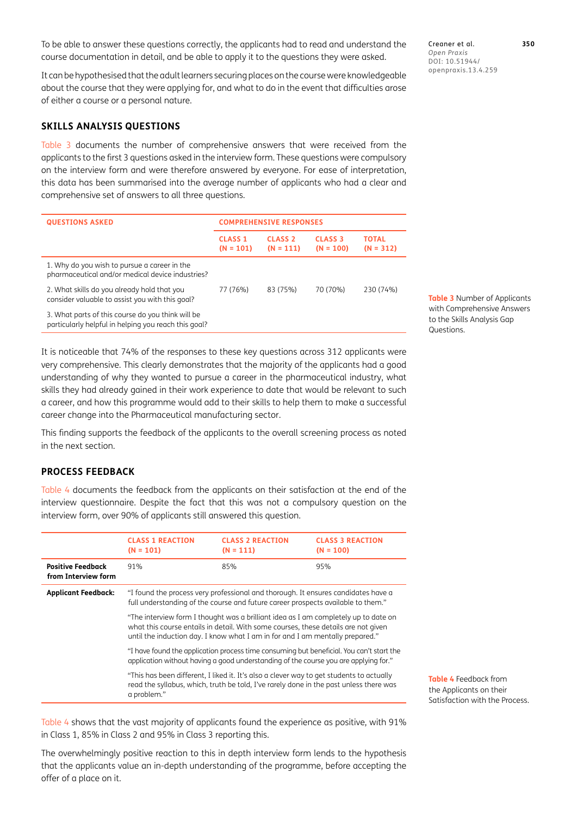To be able to answer these questions correctly, the applicants had to read and understand the course documentation in detail, and be able to apply it to the questions they were asked.

It can be hypothesised that the adult learners securing places on the course were knowledgeable about the course that they were applying for, and what to do in the event that difficulties arose of either a course or a personal nature.

### **SKILLS ANALYSIS QUESTIONS**

[Table 3](#page-8-0) documents the number of comprehensive answers that were received from the applicants to the first 3 questions asked in the interview form. These questions were compulsory on the interview form and were therefore answered by everyone. For ease of interpretation, this data has been summarised into the average number of applicants who had a clear and comprehensive set of answers to all three questions.

| <b>QUESTIONS ASKED</b>                                                                                    | <b>COMPREHENSIVE RESPONSES</b> |                               |                               |                             |
|-----------------------------------------------------------------------------------------------------------|--------------------------------|-------------------------------|-------------------------------|-----------------------------|
|                                                                                                           | <b>CLASS 1</b><br>$(N = 101)$  | <b>CLASS 2</b><br>$(N = 111)$ | <b>CLASS 3</b><br>$(N = 100)$ | <b>TOTAL</b><br>$(N = 312)$ |
| 1. Why do you wish to pursue a career in the<br>pharmaceutical and/or medical device industries?          |                                |                               |                               |                             |
| 2. What skills do you already hold that you<br>consider valuable to assist you with this goal?            | 77 (76%)                       | 83 (75%)                      | 70 (70%)                      | 230 (74%)                   |
| 3. What parts of this course do you think will be<br>particularly helpful in helping you reach this goal? |                                |                               |                               |                             |

It is noticeable that 74% of the responses to these key questions across 312 applicants were very comprehensive. This clearly demonstrates that the majority of the applicants had a good understanding of why they wanted to pursue a career in the pharmaceutical industry, what skills they had already gained in their work experience to date that would be relevant to such a career, and how this programme would add to their skills to help them to make a successful career change into the Pharmaceutical manufacturing sector.

This finding supports the feedback of the applicants to the overall screening process as noted in the next section.

#### **PROCESS FEEDBACK**

[Table 4](#page-8-1) documents the feedback from the applicants on their satisfaction at the end of the interview questionnaire. Despite the fact that this was not a compulsory question on the interview form, over 90% of applicants still answered this question.

|                                                                                                                                                                                                     | <b>CLASS 1 REACTION</b><br>$(N = 101)$                                                                                                                                                                                                                     | <b>CLASS 2 REACTION</b><br>$(N = 111)$                                                                                                                                             | <b>CLASS 3 REACTION</b><br>$(N = 100)$ |
|-----------------------------------------------------------------------------------------------------------------------------------------------------------------------------------------------------|------------------------------------------------------------------------------------------------------------------------------------------------------------------------------------------------------------------------------------------------------------|------------------------------------------------------------------------------------------------------------------------------------------------------------------------------------|----------------------------------------|
| <b>Positive Feedback</b><br>from Interview form                                                                                                                                                     | 91%                                                                                                                                                                                                                                                        | 85%                                                                                                                                                                                | 95%                                    |
| <b>Applicant Feedback:</b><br>"I found the process very professional and thorough. It ensures candidates have a<br>full understanding of the course and future career prospects available to them." |                                                                                                                                                                                                                                                            |                                                                                                                                                                                    |                                        |
|                                                                                                                                                                                                     | "The interview form I thought was a brilliant idea as I am completely up to date on<br>what this course entails in detail. With some courses, these details are not given<br>until the induction day. I know what I am in for and I am mentally prepared." |                                                                                                                                                                                    |                                        |
|                                                                                                                                                                                                     | "I have found the application process time consuming but beneficial. You can't start the<br>application without having a good understanding of the course you are applying for."                                                                           |                                                                                                                                                                                    |                                        |
|                                                                                                                                                                                                     | a problem."                                                                                                                                                                                                                                                | "This has been different, I liked it. It's also a clever way to get students to actually<br>read the syllabus, which, truth be told, I've rarely done in the past unless there was |                                        |

[Table 4](#page-8-1) shows that the vast majority of applicants found the experience as positive, with 91% in Class 1, 85% in Class 2 and 95% in Class 3 reporting this.

The overwhelmingly positive reaction to this in depth interview form lends to the hypothesis that the applicants value an in-depth understanding of the programme, before accepting the offer of a place on it.

Creaner et al. **350** *Open Praxis* DOI: 10.55982/ openpraxis.13.4.259

<span id="page-8-0"></span>**Table 3** Number of Applicants with Comprehensive Answers to the Skills Analysis Gap Questions.

<span id="page-8-1"></span>**Table 4** Feedback from the Applicants on their Satisfaction with the Process.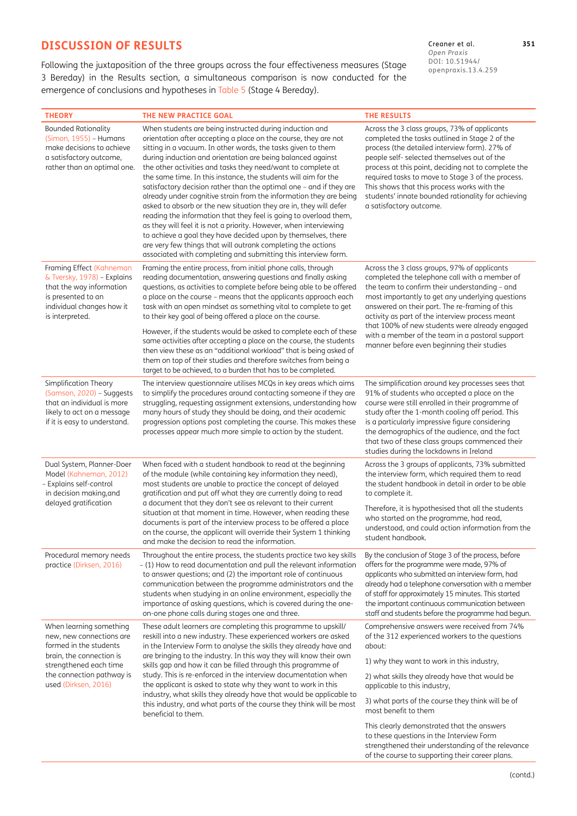# **DISCUSSION OF RESULTS**

Following the juxtaposition of the three groups across the four effectiveness measures (Stage 3 Bereday) in the Results section, a simultaneous comparison is now conducted for the emergence of conclusions and hypotheses in [Table 5](#page-10-0) (Stage 4 Bereday).

Creaner et al. **351** *Open Praxis* DOI: 10.55982/ openpraxis.13.4.259

| <b>THEORY</b>                                                                                                                                                                            | THE NEW PRACTICE GOAL                                                                                                                                                                                                                                                                                                                                                                                                                                                                                                                                                                                                                                                                                                                                                                                                                                                                                                                                       | <b>THE RESULTS</b>                                                                                                                                                                                                                                                                                                                                                                                                                                                    |
|------------------------------------------------------------------------------------------------------------------------------------------------------------------------------------------|-------------------------------------------------------------------------------------------------------------------------------------------------------------------------------------------------------------------------------------------------------------------------------------------------------------------------------------------------------------------------------------------------------------------------------------------------------------------------------------------------------------------------------------------------------------------------------------------------------------------------------------------------------------------------------------------------------------------------------------------------------------------------------------------------------------------------------------------------------------------------------------------------------------------------------------------------------------|-----------------------------------------------------------------------------------------------------------------------------------------------------------------------------------------------------------------------------------------------------------------------------------------------------------------------------------------------------------------------------------------------------------------------------------------------------------------------|
| <b>Bounded Rationality</b><br>(Simon, 1955) - Humans<br>make decisions to achieve<br>a satisfactory outcome,<br>rather than an optimal one.                                              | When students are being instructed during induction and<br>orientation after accepting a place on the course, they are not<br>sitting in a vacuum. In other words, the tasks given to them<br>during induction and orientation are being balanced against<br>the other activities and tasks they need/want to complete at<br>the same time. In this instance, the students will aim for the<br>satisfactory decision rather than the optimal one - and if they are<br>already under cognitive strain from the information they are being<br>asked to absorb or the new situation they are in, they will defer<br>reading the information that they feel is going to overload them,<br>as they will feel it is not a priority. However, when interviewing<br>to achieve a goal they have decided upon by themselves, there<br>are very few things that will outrank completing the actions<br>associated with completing and submitting this interview form. | Across the 3 class groups, 73% of applicants<br>completed the tasks outlined in Stage 2 of the<br>process (the detailed interview form). 27% of<br>people self- selected themselves out of the<br>process at this point, deciding not to complete the<br>required tasks to move to Stage 3 of the process.<br>This shows that this process works with the<br>students' innate bounded rationality for achieving<br>a satisfactory outcome.                            |
| Framing Effect (Kahneman<br>& Tversky, 1978) - Explains<br>that the way information<br>is presented to an<br>individual changes how it<br>is interpreted.                                | Framing the entire process, from initial phone calls, through<br>reading documentation, answering questions and finally asking<br>questions, as activities to complete before being able to be offered<br>a place on the course - means that the applicants approach each<br>task with an open mindset as something vital to complete to get<br>to their key goal of being offered a place on the course.<br>However, if the students would be asked to complete each of these<br>same activities after accepting a place on the course, the students<br>then view these as an "additional workload" that is being asked of<br>them on top of their studies and therefore switches from being a<br>target to be achieved, to a burden that has to be completed.                                                                                                                                                                                             | Across the 3 class groups, 97% of applicants<br>completed the telephone call with a member of<br>the team to confirm their understanding - and<br>most importantly to get any underlying questions<br>answered on their part. The re-framing of this<br>activity as part of the interview process meant<br>that 100% of new students were already engaged<br>with a member of the team in a pastoral support<br>manner before even beginning their studies            |
| Simplification Theory<br>(Samson, 2020) – Suggests<br>that an individual is more<br>likely to act on a message<br>if it is easy to understand.                                           | The interview questionnaire utilises MCQs in key areas which aims<br>to simplify the procedures around contacting someone if they are<br>struggling, requesting assignment extensions, understanding how<br>many hours of study they should be doing, and their academic<br>progression options post completing the course. This makes these<br>processes appear much more simple to action by the student.                                                                                                                                                                                                                                                                                                                                                                                                                                                                                                                                                 | The simplification around key processes sees that<br>91% of students who accepted a place on the<br>course were still enrolled in their programme of<br>study after the 1-month cooling off period. This<br>is a particularly impressive figure considering<br>the demographics of the audience, and the fact<br>that two of these class groups commenced their<br>studies during the lockdowns in Ireland                                                            |
| Dual System, Planner-Doer<br>Model (Kahneman, 2012)<br>- Explains self-control<br>in decision making, and<br>delayed gratification                                                       | When faced with a student handbook to read at the beginning<br>of the module (while containing key information they need),<br>most students are unable to practice the concept of delayed<br>gratification and put off what they are currently doing to read<br>a document that they don't see as relevant to their current<br>situation at that moment in time. However, when reading these<br>documents is part of the interview process to be offered a place<br>on the course, the applicant will override their System 1 thinking<br>and make the decision to read the information.                                                                                                                                                                                                                                                                                                                                                                    | Across the 3 groups of applicants, 73% submitted<br>the interview form, which required them to read<br>the student handbook in detail in order to be able<br>to complete it.<br>Therefore, it is hypothesised that all the students<br>who started on the programme, had read,<br>understood, and could action information from the<br>student handbook.                                                                                                              |
| Procedural memory needs<br>practice (Dirksen, 2016)                                                                                                                                      | Throughout the entire process, the students practice two key skills<br>- (1) How to read documentation and pull the relevant information<br>to answer questions; and (2) the important role of continuous<br>communication between the programme administrators and the<br>students when studying in an online environment, especially the<br>importance of asking questions, which is covered during the one-<br>on-one phone calls during stages one and three.                                                                                                                                                                                                                                                                                                                                                                                                                                                                                           | By the conclusion of Stage 3 of the process, before<br>offers for the programme were made, 97% of<br>applicants who submitted an interview form, had<br>already had a telephone conversation with a member<br>of staff for approximately 15 minutes. This started<br>the important continuous communication between<br>staff and students before the programme had begun.                                                                                             |
| When learning something<br>new, new connections are<br>formed in the students<br>brain, the connection is<br>strengthened each time<br>the connection pathway is<br>used (Dirksen, 2016) | These adult learners are completing this programme to upskill/<br>reskill into a new industry. These experienced workers are asked<br>in the Interview Form to analyse the skills they already have and<br>are bringing to the industry. In this way they will know their own<br>skills gap and how it can be filled through this programme of<br>study. This is re-enforced in the interview documentation when<br>the applicant is asked to state why they want to work in this<br>industry, what skills they already have that would be applicable to<br>this industry, and what parts of the course they think will be most<br>beneficial to them.                                                                                                                                                                                                                                                                                                      | Comprehensive answers were received from 74%<br>of the 312 experienced workers to the questions<br>about:<br>1) why they want to work in this industry,<br>2) what skills they already have that would be<br>applicable to this industry,<br>3) what parts of the course they think will be of<br>most benefit to them<br>This clearly demonstrated that the answers<br>to these questions in the Interview Form<br>strengthened their understanding of the relevance |

of the course to supporting their career plans.